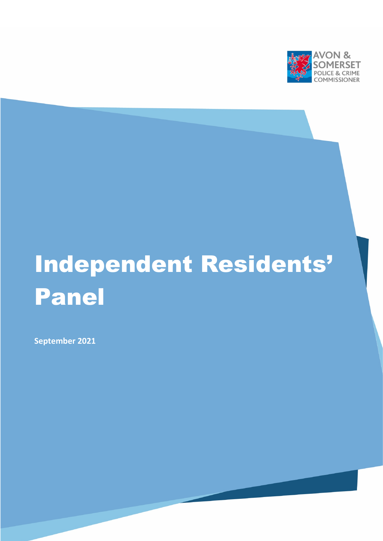

# Independent Residents' Panel

**September 2021**

[Type here]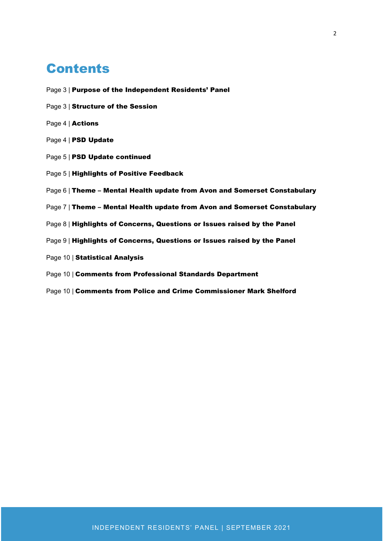### **Contents**

- Page 3 | Purpose of the Independent Residents' Panel
- Page 3 | Structure of the Session
- Page 4 | Actions
- Page 4 | PSD Update
- Page 5 | PSD Update continued
- Page 5 | Highlights of Positive Feedback
- Page 6 | Theme Mental Health update from Avon and Somerset Constabulary
- Page 7 | Theme Mental Health update from Avon and Somerset Constabulary
- Page 8 | Highlights of Concerns, Questions or Issues raised by the Panel
- Page 9 | Highlights of Concerns, Questions or Issues raised by the Panel
- Page 10 | Statistical Analysis
- Page 10 | Comments from Professional Standards Department
- Page 10 | Comments from Police and Crime Commissioner Mark Shelford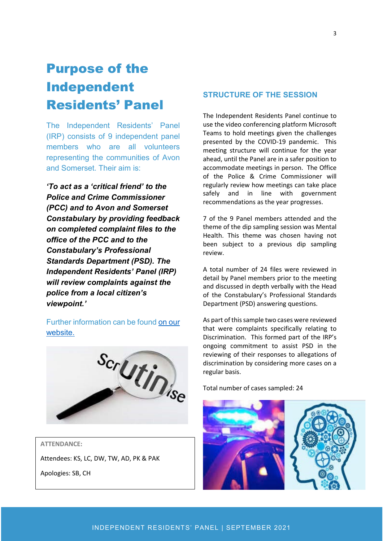## Purpose of the Independent Residents' Panel

The Independent Residents' Panel (IRP) consists of 9 independent panel members who are all volunteers representing the communities of Avon and Somerset. Their aim is:

*'To act as a 'critical friend' to the Police and Crime Commissioner (PCC) and to Avon and Somerset Constabulary by providing feedback on completed complaint files to the office of the PCC and to the Constabulary's Professional Standards Department (PSD). The Independent Residents' Panel (IRP) will review complaints against the police from a local citizen's viewpoint.'*

Further information can be found [on our](https://www.avonandsomerset-pcc.gov.uk/reports-publications/independent-residents-panel-reports/)  [website.](https://www.avonandsomerset-pcc.gov.uk/reports-publications/independent-residents-panel-reports/)



#### **ATTENDANCE:**

Attendees: KS, LC, DW, TW, AD, PK & PAK

Apologies: SB, CH

#### **STRUCTURE OF THE SESSION**

The Independent Residents Panel continue to use the video conferencing platform Microsoft Teams to hold meetings given the challenges presented by the COVID-19 pandemic. This meeting structure will continue for the year ahead, until the Panel are in a safer position to accommodate meetings in person. The Office of the Police & Crime Commissioner will regularly review how meetings can take place safely and in line with government recommendations as the year progresses.

7 of the 9 Panel members attended and the theme of the dip sampling session was Mental Health. This theme was chosen having not been subject to a previous dip sampling review.

A total number of 24 files were reviewed in detail by Panel members prior to the meeting and discussed in depth verbally with the Head of the Constabulary's Professional Standards Department (PSD) answering questions.

As part of this sample two cases were reviewed that were complaints specifically relating to Discrimination. This formed part of the IRP's ongoing commitment to assist PSD in the reviewing of their responses to allegations of discrimination by considering more cases on a regular basis.

Total number of cases sampled: 24

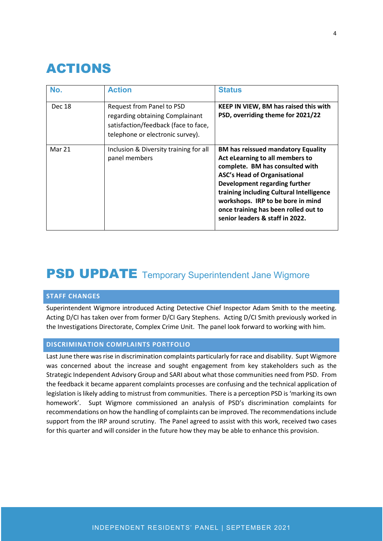### ACTIONS

| No.    | <b>Action</b>                                                                                                                            | <b>Status</b>                                                                                                                                                                                                                                                                                                                                       |
|--------|------------------------------------------------------------------------------------------------------------------------------------------|-----------------------------------------------------------------------------------------------------------------------------------------------------------------------------------------------------------------------------------------------------------------------------------------------------------------------------------------------------|
| Dec 18 | Request from Panel to PSD<br>regarding obtaining Complainant<br>satisfaction/feedback (face to face,<br>telephone or electronic survey). | KEEP IN VIEW, BM has raised this with<br>PSD, overriding theme for 2021/22                                                                                                                                                                                                                                                                          |
| Mar 21 | Inclusion & Diversity training for all<br>panel members                                                                                  | <b>BM has reissued mandatory Equality</b><br>Act eLearning to all members to<br>complete. BM has consulted with<br><b>ASC's Head of Organisational</b><br>Development regarding further<br>training including Cultural Intelligence<br>workshops. IRP to be bore in mind<br>once training has been rolled out to<br>senior leaders & staff in 2022. |

### **PSD UPDATE** Temporary Superintendent Jane Wigmore

#### **STAFF CHANGES**

Superintendent Wigmore introduced Acting Detective Chief Inspector Adam Smith to the meeting. Acting D/CI has taken over from former D/CI Gary Stephens. Acting D/CI Smith previously worked in the Investigations Directorate, Complex Crime Unit. The panel look forward to working with him.

#### **DISCRIMINATION COMPLAINTS PORTFOLIO**

Last June there was rise in discrimination complaints particularly for race and disability. Supt Wigmore was concerned about the increase and sought engagement from key stakeholders such as the Strategic Independent Advisory Group and SARI about what those communities need from PSD. From the feedback it became apparent complaints processes are confusing and the technical application of legislation is likely adding to mistrust from communities. There is a perception PSD is 'marking its own homework'. Supt Wigmore commissioned an analysis of PSD's discrimination complaints for recommendations on how the handling of complaints can be improved. The recommendations include support from the IRP around scrutiny. The Panel agreed to assist with this work, received two cases for this quarter and will consider in the future how they may be able to enhance this provision.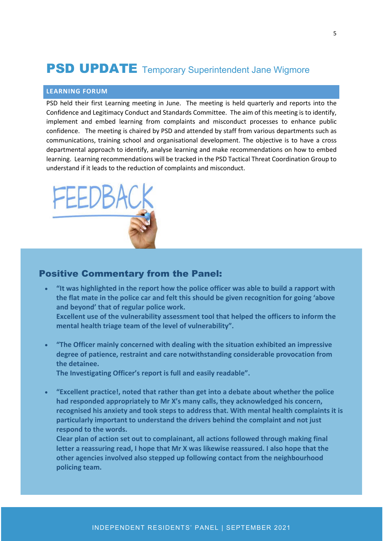### **PSD UPDATE** Temporary Superintendent Jane Wigmore

#### **LEARNING FORUM**

PSD held their first Learning meeting in June. The meeting is held quarterly and reports into the Confidence and Legitimacy Conduct and Standards Committee. The aim of this meeting is to identify, implement and embed learning from complaints and misconduct processes to enhance public confidence. The meeting is chaired by PSD and attended by staff from various departments such as communications, training school and organisational development. The objective is to have a cross departmental approach to identify, analyse learning and make recommendations on how to embed learning. Learning recommendations will be tracked in the PSD Tactical Threat Coordination Group to understand if it leads to the reduction of complaints and misconduct.



#### Positive Commentary from the Panel:

- **"It was highlighted in the report how the police officer was able to build a rapport with the flat mate in the police car and felt this should be given recognition for going 'above and beyond' that of regular police work. Excellent use of the vulnerability assessment tool that helped the officers to inform the mental health triage team of the level of vulnerability".**
- **"The Officer mainly concerned with dealing with the situation exhibited an impressive degree of patience, restraint and care notwithstanding considerable provocation from the detainee.**

**The Investigating Officer's report is full and easily readable".**

• **"Excellent practice!, noted that rather than get into a debate about whether the police had responded appropriately to Mr X's many calls, they acknowledged his concern, recognised his anxiety and took steps to address that. With mental health complaints it is particularly important to understand the drivers behind the complaint and not just respond to the words.** 

**Clear plan of action set out to complainant, all actions followed through making final letter a reassuring read, I hope that Mr X was likewise reassured. I also hope that the other agencies involved also stepped up following contact from the neighbourhood policing team.**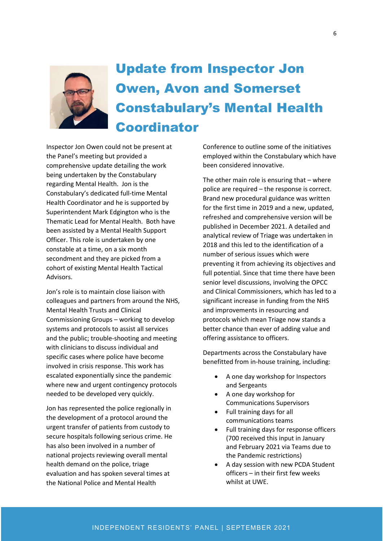

# Update from Inspector Jon Owen, Avon and Somerset Constabulary's Mental Health Coordinator

Inspector Jon Owen could not be present at the Panel's meeting but provided a comprehensive update detailing the work being undertaken by the Constabulary regarding Mental Health. Jon is the Constabulary's dedicated full-time Mental Health Coordinator and he is supported by Superintendent Mark Edgington who is the Thematic Lead for Mental Health. Both have been assisted by a Mental Health Support Officer. This role is undertaken by one constable at a time, on a six month secondment and they are picked from a cohort of existing Mental Health Tactical Advisors.

Jon's role is to maintain close liaison with colleagues and partners from around the NHS, Mental Health Trusts and Clinical Commissioning Groups – working to develop systems and protocols to assist all services and the public; trouble-shooting and meeting with clinicians to discuss individual and specific cases where police have become involved in crisis response. This work has escalated exponentially since the pandemic where new and urgent contingency protocols needed to be developed very quickly.

Jon has represented the police regionally in the development of a protocol around the urgent transfer of patients from custody to secure hospitals following serious crime. He has also been involved in a number of national projects reviewing overall mental health demand on the police, triage evaluation and has spoken several times at the National Police and Mental Health

Conference to outline some of the initiatives employed within the Constabulary which have been considered innovative.

The other main role is ensuring that – where police are required – the response is correct. Brand new procedural guidance was written for the first time in 2019 and a new, updated, refreshed and comprehensive version will be published in December 2021. A detailed and analytical review of Triage was undertaken in 2018 and this led to the identification of a number of serious issues which were preventing it from achieving its objectives and full potential. Since that time there have been senior level discussions, involving the OPCC and Clinical Commissioners, which has led to a significant increase in funding from the NHS and improvements in resourcing and protocols which mean Triage now stands a better chance than ever of adding value and offering assistance to officers.

Departments across the Constabulary have benefitted from in-house training, including:

- A one day workshop for Inspectors and Sergeants
- A one day workshop for Communications Supervisors
- Full training days for all communications teams
- Full training days for response officers (700 received this input in January and February 2021 via Teams due to the Pandemic restrictions)
- A day session with new PCDA Student officers – in their first few weeks whilst at UWE.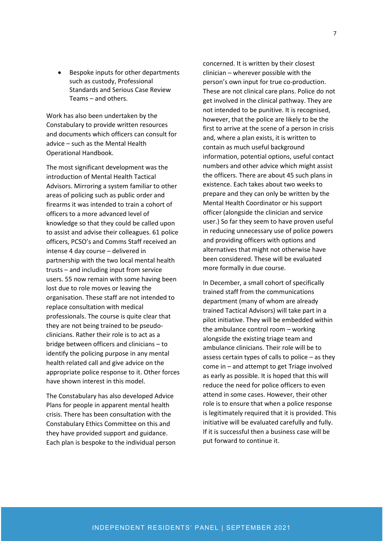• Bespoke inputs for other departments such as custody, Professional Standards and Serious Case Review Teams – and others.

Work has also been undertaken by the Constabulary to provide written resources and documents which officers can consult for advice – such as the Mental Health Operational Handbook.

The most significant development was the introduction of Mental Health Tactical Advisors. Mirroring a system familiar to other areas of policing such as public order and firearms it was intended to train a cohort of officers to a more advanced level of knowledge so that they could be called upon to assist and advise their colleagues. 61 police officers, PCSO's and Comms Staff received an intense 4 day course – delivered in partnership with the two local mental health trusts – and including input from service users. 55 now remain with some having been lost due to role moves or leaving the organisation. These staff are not intended to replace consultation with medical professionals. The course is quite clear that they are not being trained to be pseudoclinicians. Rather their role is to act as a bridge between officers and clinicians – to identify the policing purpose in any mental health related call and give advice on the appropriate police response to it. Other forces have shown interest in this model.

The Constabulary has also developed Advice Plans for people in apparent mental health crisis. There has been consultation with the Constabulary Ethics Committee on this and they have provided support and guidance. Each plan is bespoke to the individual person concerned. It is written by their closest clinician – wherever possible with the person's own input for true co-production. These are not clinical care plans. Police do not get involved in the clinical pathway. They are not intended to be punitive. It is recognised, however, that the police are likely to be the first to arrive at the scene of a person in crisis and, where a plan exists, it is written to contain as much useful background information, potential options, useful contact numbers and other advice which might assist the officers. There are about 45 such plans in existence. Each takes about two weeks to prepare and they can only be written by the Mental Health Coordinator or his support officer (alongside the clinician and service user.) So far they seem to have proven useful in reducing unnecessary use of police powers and providing officers with options and alternatives that might not otherwise have been considered. These will be evaluated more formally in due course.

In December, a small cohort of specifically trained staff from the communications department (many of whom are already trained Tactical Advisors) will take part in a pilot initiative. They will be embedded within the ambulance control room – working alongside the existing triage team and ambulance clinicians. Their role will be to assess certain types of calls to police – as they come in – and attempt to get Triage involved as early as possible. It is hoped that this will reduce the need for police officers to even attend in some cases. However, their other role is to ensure that when a police response is legitimately required that it is provided. This initiative will be evaluated carefully and fully. If it is successful then a business case will be put forward to continue it.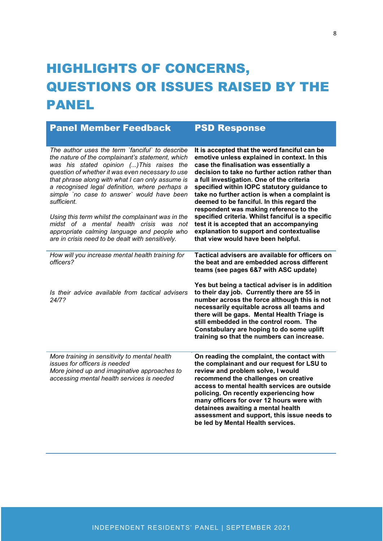# HIGHLIGHTS OF CONCERNS, QUESTIONS OR ISSUES RAISED BY THE **PANEL**

| <b>Panel Member Feedback</b>                                                                                                                                                                                                                                                                                                                                                                                                                                                                                                                                               | <b>PSD Response</b>                                                                                                                                                                                                                                                                                                                                                                                                                                                                                                                                                                                              |
|----------------------------------------------------------------------------------------------------------------------------------------------------------------------------------------------------------------------------------------------------------------------------------------------------------------------------------------------------------------------------------------------------------------------------------------------------------------------------------------------------------------------------------------------------------------------------|------------------------------------------------------------------------------------------------------------------------------------------------------------------------------------------------------------------------------------------------------------------------------------------------------------------------------------------------------------------------------------------------------------------------------------------------------------------------------------------------------------------------------------------------------------------------------------------------------------------|
| The author uses the term `fanciful` to describe<br>the nature of the complainant's statement, which<br>was his stated opinion () This raises the<br>question of whether it was even necessary to use<br>that phrase along with what I can only assume is<br>a recognised legal definition, where perhaps a<br>simple `no case to answer` would have been<br>sufficient.<br>Using this term whilst the complainant was in the<br>midst of a mental health crisis was not<br>appropriate calming language and people who<br>are in crisis need to be dealt with sensitively. | It is accepted that the word fanciful can be<br>emotive unless explained in context. In this<br>case the finalisation was essentially a<br>decision to take no further action rather than<br>a full investigation. One of the criteria<br>specified within IOPC statutory guidance to<br>take no further action is when a complaint is<br>deemed to be fanciful. In this regard the<br>respondent was making reference to the<br>specified criteria. Whilst fanciful is a specific<br>test it is accepted that an accompanying<br>explanation to support and contextualise<br>that view would have been helpful. |
| How will you increase mental health training for<br>officers?<br>Is their advice available from tactical advisers<br>24/7?<br>More training in sensitivity to mental health                                                                                                                                                                                                                                                                                                                                                                                                | Tactical advisers are available for officers on<br>the beat and are embedded across different<br>teams (see pages 6&7 with ASC update)<br>Yes but being a tactical adviser is in addition<br>to their day job. Currently there are 55 in<br>number across the force although this is not<br>necessarily equitable across all teams and<br>there will be gaps. Mental Health Triage is<br>still embedded in the control room. The<br>Constabulary are hoping to do some uplift<br>training so that the numbers can increase.<br>On reading the complaint, the contact with                                        |
| issues for officers is needed<br>More joined up and imaginative approaches to<br>accessing mental health services is needed                                                                                                                                                                                                                                                                                                                                                                                                                                                | the complainant and our request for LSU to<br>review and problem solve, I would<br>recommend the challenges on creative<br>access to mental health services are outside<br>policing. On recently experiencing how<br>many officers for over 12 hours were with<br>detainees awaiting a mental health<br>assessment and support, this issue needs to<br>be led by Mental Health services.                                                                                                                                                                                                                         |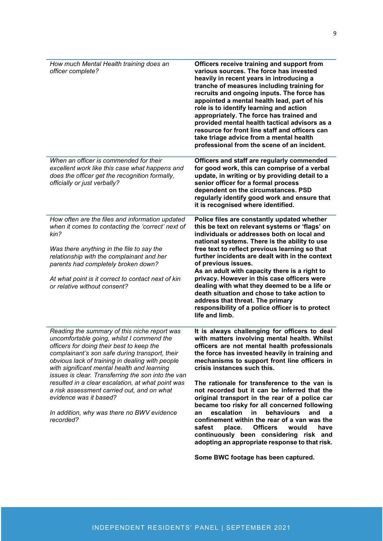| How much Mental Health training does an<br>officer complete?                                                                                                                                                                                                                                                                                                                                                                                                                                                                             | Officers receive training and support from<br>various sources. The force has invested<br>heavily in recent years in introducing a<br>tranche of measures including training for<br>recruits and ongoing inputs. The force has<br>appointed a mental health lead, part of his<br>role is to identify learning and action<br>appropriately. The force has trained and<br>provided mental health tactical advisors as a<br>resource for front line staff and officers can<br>take triage advice from a mental health<br>professional from the scene of an incident.                                                                                                                                                                         |
|------------------------------------------------------------------------------------------------------------------------------------------------------------------------------------------------------------------------------------------------------------------------------------------------------------------------------------------------------------------------------------------------------------------------------------------------------------------------------------------------------------------------------------------|------------------------------------------------------------------------------------------------------------------------------------------------------------------------------------------------------------------------------------------------------------------------------------------------------------------------------------------------------------------------------------------------------------------------------------------------------------------------------------------------------------------------------------------------------------------------------------------------------------------------------------------------------------------------------------------------------------------------------------------|
| When an officer is commended for their<br>excellent work like this case what happens and<br>does the officer get the recognition formally,<br>officially or just verbally?                                                                                                                                                                                                                                                                                                                                                               | Officers and staff are regularly commended<br>for good work, this can comprise of a verbal<br>update, in writing or by providing detail to a<br>senior officer for a formal process<br>dependent on the circumstances. PSD<br>regularly identify good work and ensure that<br>it is recognised where identified.                                                                                                                                                                                                                                                                                                                                                                                                                         |
| How often are the files and information updated<br>when it comes to contacting the 'correct' next of<br>kin?<br>Was there anything in the file to say the<br>relationship with the complainant and her<br>parents had completely broken down?<br>At what point is it correct to contact next of kin<br>or relative without consent?                                                                                                                                                                                                      | Police files are constantly updated whether<br>this be text on relevant systems or 'flags' on<br>individuals or addresses both on local and<br>national systems. There is the ability to use<br>free text to reflect previous learning so that<br>further incidents are dealt with in the context<br>of previous issues.<br>As an adult with capacity there is a right to<br>privacy. However in this case officers were<br>dealing with what they deemed to be a life or<br>death situation and chose to take action to<br>address that threat. The primary<br>responsibility of a police officer is to protect<br>life and limb.                                                                                                       |
| Reading the summary of this niche report was<br>uncomfortable going, whilst I commend the<br>officers for doing their best to keep the<br>complainant's son safe during transport, their<br>obvious lack of training in dealing with people<br>with significant mental health and learning<br>issues is clear. Transferring the son into the van<br>resulted in a clear escalation, at what point was<br>a risk assessment carried out, and on what<br>evidence was it based?<br>In addition, why was there no BWV evidence<br>recorded? | It is always challenging for officers to deal<br>with matters involving mental health. Whilst<br>officers are not mental health professionals<br>the force has invested heavily in training and<br>mechanisms to support front line officers in<br>crisis instances such this.<br>The rationale for transference to the van is<br>not recorded but it can be inferred that the<br>original transport in the rear of a police car<br>became too risky for all concerned following<br>escalation<br>behaviours<br>in<br>and<br>an<br>a<br>confinement within the rear of a van was the<br><b>Officers</b><br>would<br>safest<br>place.<br>have<br>continuously been considering risk and<br>adopting an appropriate response to that risk. |

**Some BWC footage has been captured.**